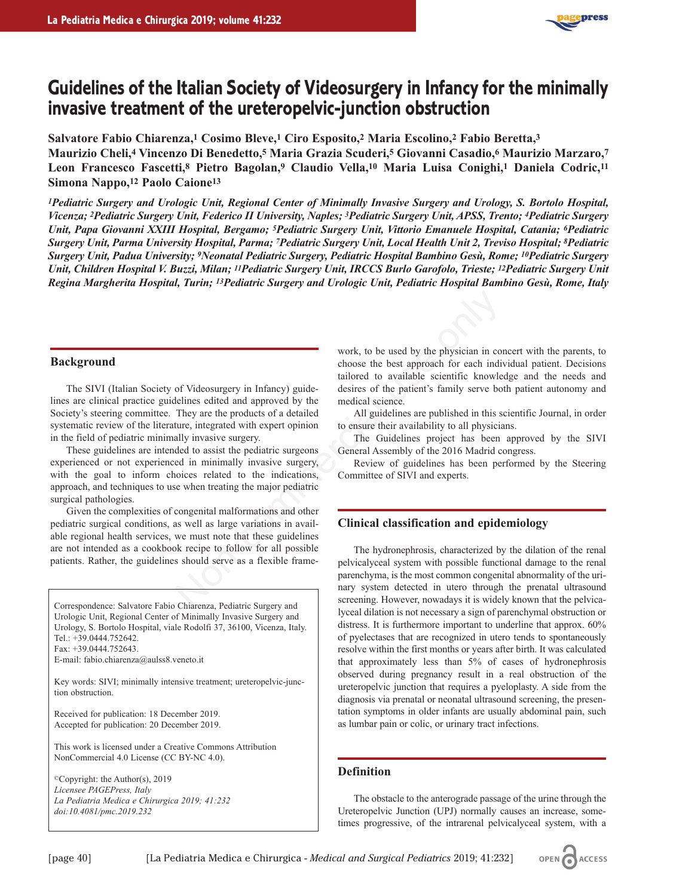

# **Guidelines of the Italian Society of Videosurgery in Infancy for the minimally invasive treatment of the ureteropelvic-junction obstruction**

**Salvatore Fabio Chiarenza,1 Cosimo Bleve,1 Ciro Esposito,2 Maria Escolino,2 Fabio Beretta,3 Maurizio Cheli,4 Vincenzo Di Benedetto,5 Maria Grazia Scuderi,5 Giovanni Casadio,6 Maurizio Marzaro,7 Leon Francesco Fascetti,8 Pietro Bagolan,9 Claudio Vella,10 Maria Luisa Conighi,1 Daniela Codric,11 Simona Nappo,12 Paolo Caione13**

*1Pediatric Surgery and Urologic Unit, Regional Center of Minimally Invasive Surgery and Urology, S. Bortolo Hospital, Vicenza; 2Pediatric Surgery Unit, Federico II University, Naples; 3Pediatric Surgery Unit, APSS, Trento; 4Pediatric Surgery Unit, Papa Giovanni XXIII Hospital, Bergamo; 5Pediatric Surgery Unit, Vittorio Emanuele Hospital, Catania; 6Pediatric Surgery Unit, Parma University Hospital, Parma; 7Pediatric Surgery Unit, Local Health Unit 2, Treviso Hospital; 8Pediatric Surgery Unit, Padua University; 9Neonatal Pediatric Surgery, Pediatric Hospital Bambino Gesù, Rome; 10Pediatric Surgery Unit, Children Hospital V. Buzzi, Milan; 11Pediatric Surgery Unit, IRCCS Burlo Garofolo, Trieste; 12Pediatric Surgery Unit Regina Margherita Hospital, Turin; 13Pediatric Surgery and Urologic Unit, Pediatric Hospital Bambino Gesù, Rome, Italy*

# **Background**

The SIVI (Italian Society of Videosurgery in Infancy) guidelines are clinical practice guidelines edited and approved by the Society's steering committee. They are the products of a detailed systematic review of the literature, integrated with expert opinion in the field of pediatric minimally invasive surgery.

These guidelines are intended to assist the pediatric surgeons experienced or not experienced in minimally invasive surgery, with the goal to inform choices related to the indications, approach, and techniques to use when treating the major pediatric surgical pathologies.

Given the complexities of congenital malformations and other pediatric surgical conditions, as well as large variations in available regional health services, we must note that these guidelines are not intended as a cookbook recipe to follow for all possible patients. Rather, the guidelines should serve as a flexible frame-

Correspondence: Salvatore Fabio Chiarenza, Pediatric Surgery and Urologic Unit, Regional Center of Minimally Invasive Surgery and Urology, S. Bortolo Hospital, viale Rodolfi 37, 36100, Vicenza, Italy. Tel.: +39.0444.752642.  $Fax \cdot +39.0444.752643$ 

E-mail: fabio.chiarenza@aulss8.veneto.it

Key words: SIVI; minimally intensive treatment; ureteropelvic-junction obstruction.

Received for publication: 18 December 2019. Accepted for publication: 20 December 2019.

This work is licensed under a Creative Commons Attribution NonCommercial 4.0 License (CC BY-NC 4.0).

©Copyright: the Author(s), 2019 *Licensee PAGEPress, Italy La Pediatria Medica e Chirurgica 2019; 41:232 doi:10.4081/pmc.2019.232*

work, to be used by the physician in concert with the parents, to choose the best approach for each individual patient. Decisions tailored to available scientific knowledge and the needs and desires of the patient's family serve both patient autonomy and medical science.

All guidelines are published in this scientific Journal, in order to ensure their availability to all physicians.

The Guidelines project has been approved by the SIVI General Assembly of the 2016 Madrid congress.

Review of guidelines has been performed by the Steering Committee of SIVI and experts.

## **Clinical classification and epidemiology**

The hydronephrosis, characterized by the dilation of the renal pelvicalyceal system with possible functional damage to the renal parenchyma, is the most common congenital abnormality of the urinary system detected in utero through the prenatal ultrasound screening. However, nowadays it is widely known that the pelvicalyceal dilation is not necessary a sign of parenchymal obstruction or distress. It is furthermore important to underline that approx. 60% of pyelectases that are recognized in utero tends to spontaneously resolve within the first months or years after birth. It was calculated that approximately less than 5% of cases of hydronephrosis observed during pregnancy result in a real obstruction of the ureteropelvic junction that requires a pyeloplasty. A side from the diagnosis via prenatal or neonatal ultrasound screening, the presentation symptoms in older infants are usually abdominal pain, such as lumbar pain or colic, or urinary tract infections. work, to be used by the physician in comment of Video<br>surgery in Infancy) guide-<br>tailored to available scilter leminos tailored to available scilter leminos<br>clients desires of the patient's family serve be<br>They are the pro

# **Definition**

The obstacle to the anterograde passage of the urine through the Ureteropelvic Junction (UPJ) normally causes an increase, sometimes progressive, of the intrarenal pelvicalyceal system, with a

OPEN CACCESS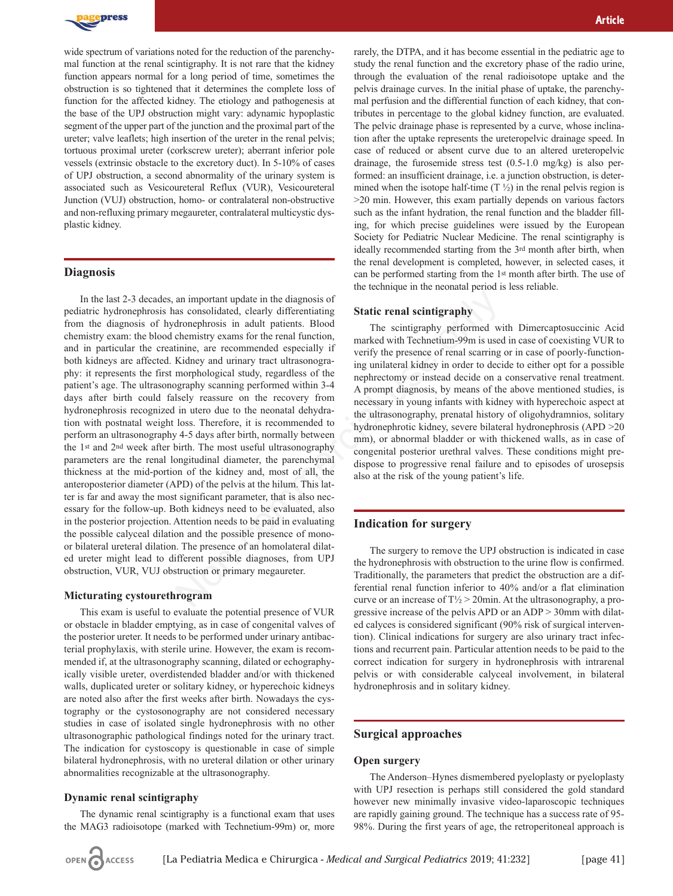

wide spectrum of variations noted for the reduction of the parenchymal function at the renal scintigraphy. It is not rare that the kidney function appears normal for a long period of time, sometimes the obstruction is so tightened that it determines the complete loss of function for the affected kidney. The etiology and pathogenesis at the base of the UPJ obstruction might vary: adynamic hypoplastic segment of the upper part of the junction and the proximal part of the ureter; valve leaflets; high insertion of the ureter in the renal pelvis; tortuous proximal ureter (corkscrew ureter); aberrant inferior pole vessels (extrinsic obstacle to the excretory duct). In 5-10% of cases of UPJ obstruction, a second abnormality of the urinary system is associated such as Vesicoureteral Reflux (VUR), Vesicoureteral Junction (VUJ) obstruction, homo- or contralateral non-obstructive and non-refluxing primary megaureter, contralateral multicystic dysplastic kidney.

## **Diagnosis**

In the last 2-3 decades, an important update in the diagnosis of pediatric hydronephrosis has consolidated, clearly differentiating from the diagnosis of hydronephrosis in adult patients. Blood chemistry exam: the blood chemistry exams for the renal function, and in particular the creatinine, are recommended especially if both kidneys are affected. Kidney and urinary tract ultrasonography: it represents the first morphological study, regardless of the patient's age. The ultrasonography scanning performed within 3-4 days after birth could falsely reassure on the recovery from hydronephrosis recognized in utero due to the neonatal dehydration with postnatal weight loss. Therefore, it is recommended to perform an ultrasonography 4-5 days after birth, normally between the 1st and 2nd week after birth. The most useful ultrasonography parameters are the renal longitudinal diameter, the parenchymal thickness at the mid-portion of the kidney and, most of all, the anteroposterior diameter (APD) of the pelvis at the hilum. This latter is far and away the most significant parameter, that is also necessary for the follow-up. Both kidneys need to be evaluated, also in the posterior projection. Attention needs to be paid in evaluating the possible calyceal dilation and the possible presence of monoor bilateral ureteral dilation. The presence of an homolateral dilated ureter might lead to different possible diagnoses, from UPJ obstruction, VUR, VUJ obstruction or primary megaureter. an important update in the diagnosis of<br>
as consolidated, clearly differentialiting<br>
dropen positive read scintigraphy<br>
dropen broads in adult patients. Blood<br>
chemistry exams for the renal function,<br>
marked with Techneti

#### **Micturating cystourethrogram**

This exam is useful to evaluate the potential presence of VUR or obstacle in bladder emptying, as in case of congenital valves of the posterior ureter. It needs to be performed under urinary antibacterial prophylaxis, with sterile urine. However, the exam is recommended if, at the ultrasonography scanning, dilated or echographyically visible ureter, overdistended bladder and/or with thickened walls, duplicated ureter or solitary kidney, or hyperechoic kidneys are noted also after the first weeks after birth. Nowadays the cystography or the cystosonography are not considered necessary studies in case of isolated single hydronephrosis with no other ultrasonographic pathological findings noted for the urinary tract. The indication for cystoscopy is questionable in case of simple bilateral hydronephrosis, with no ureteral dilation or other urinary abnormalities recognizable at the ultrasonography.

## **Dynamic renal scintigraphy**

OPEN ACCESS

The dynamic renal scintigraphy is a functional exam that uses the MAG3 radioisotope (marked with Technetium-99m) or, more

rarely, the DTPA, and it has become essential in the pediatric age to study the renal function and the excretory phase of the radio urine, through the evaluation of the renal radioisotope uptake and the pelvis drainage curves. In the initial phase of uptake, the parenchymal perfusion and the differential function of each kidney, that contributes in percentage to the global kidney function, are evaluated. The pelvic drainage phase is represented by a curve, whose inclination after the uptake represents the ureteropelvic drainage speed. In case of reduced or absent curve due to an altered ureteropelvic drainage, the furosemide stress test (0.5-1.0 mg/kg) is also performed: an insufficient drainage, i.e. a junction obstruction, is determined when the isotope half-time  $(T \frac{1}{2})$  in the renal pelvis region is >20 min. However, this exam partially depends on various factors such as the infant hydration, the renal function and the bladder filling, for which precise guidelines were issued by the European Society for Pediatric Nuclear Medicine. The renal scintigraphy is ideally recommended starting from the 3rd month after birth, when the renal development is completed, however, in selected cases, it can be performed starting from the 1st month after birth. The use of the technique in the neonatal period is less reliable.

#### **Static renal scintigraphy**

The scintigraphy performed with Dimercaptosuccinic Acid marked with Technetium-99m is used in case of coexisting VUR to verify the presence of renal scarring or in case of poorly-functioning unilateral kidney in order to decide to either opt for a possible nephrectomy or instead decide on a conservative renal treatment. A prompt diagnosis, by means of the above mentioned studies, is necessary in young infants with kidney with hyperechoic aspect at the ultrasonography, prenatal history of oligohydramnios, solitary hydronephrotic kidney, severe bilateral hydronephrosis (APD >20 mm), or abnormal bladder or with thickened walls, as in case of congenital posterior urethral valves. These conditions might predispose to progressive renal failure and to episodes of urosepsis also at the risk of the young patient's life.

## **Indication for surgery**

The surgery to remove the UPJ obstruction is indicated in case the hydronephrosis with obstruction to the urine flow is confirmed. Traditionally, the parameters that predict the obstruction are a differential renal function inferior to 40% and/or a flat elimination curve or an increase of  $T\frac{1}{2}$  > 20min. At the ultrasonography, a progressive increase of the pelvis APD or an ADP > 30mm with dilated calyces is considered significant (90% risk of surgical intervention). Clinical indications for surgery are also urinary tract infections and recurrent pain. Particular attention needs to be paid to the correct indication for surgery in hydronephrosis with intrarenal pelvis or with considerable calyceal involvement, in bilateral hydronephrosis and in solitary kidney.

## **Surgical approaches**

#### **Open surgery**

The Anderson–Hynes dismembered pyeloplasty or pyeloplasty with UPJ resection is perhaps still considered the gold standard however new minimally invasive video-laparoscopic techniques are rapidly gaining ground. The technique has a success rate of 95- 98%. During the first years of age, the retroperitoneal approach is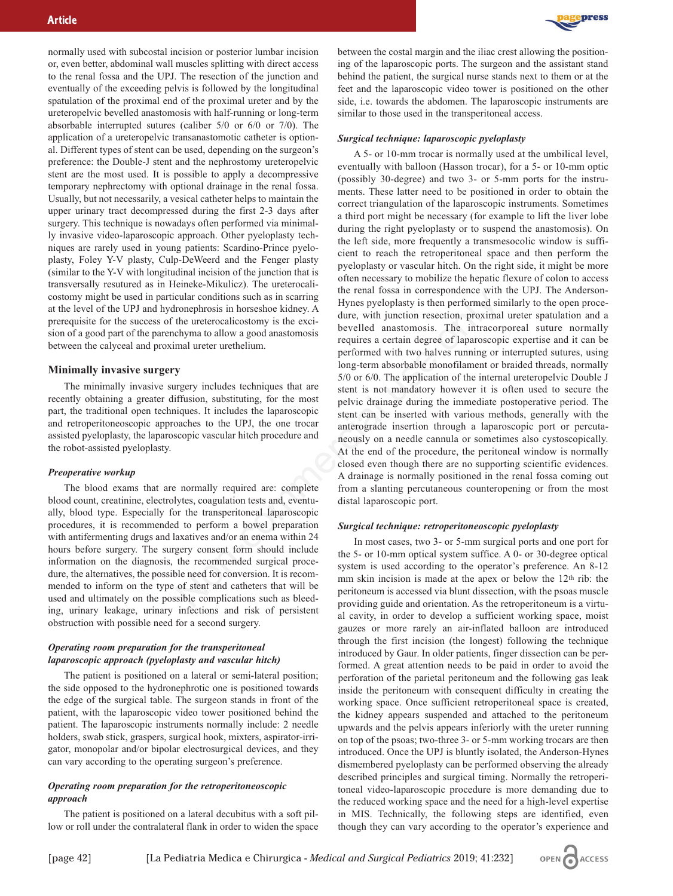normally used with subcostal incision or posterior lumbar incision or, even better, abdominal wall muscles splitting with direct access to the renal fossa and the UPJ. The resection of the junction and eventually of the exceeding pelvis is followed by the longitudinal spatulation of the proximal end of the proximal ureter and by the ureteropelvic bevelled anastomosis with half-running or long-term absorbable interrupted sutures (caliber 5/0 or 6/0 or 7/0). The application of a ureteropelvic transanastomotic catheter is optional. Different types of stent can be used, depending on the surgeon's preference: the Double-J stent and the nephrostomy ureteropelvic stent are the most used. It is possible to apply a decompressive temporary nephrectomy with optional drainage in the renal fossa. Usually, but not necessarily, a vesical catheter helps to maintain the upper urinary tract decompressed during the first 2-3 days after surgery. This technique is nowadays often performed via minimally invasive video-laparoscopic approach. Other pyeloplasty techniques are rarely used in young patients: Scardino-Prince pyeloplasty, Foley Y-V plasty, Culp-DeWeerd and the Fenger plasty (similar to the Y-V with longitudinal incision of the junction that is transversally resutured as in Heineke-Mikulicz). The ureterocalicostomy might be used in particular conditions such as in scarring at the level of the UPJ and hydronephrosis in horseshoe kidney. A prerequisite for the success of the ureterocalicostomy is the excision of a good part of the parenchyma to allow a good anastomosis between the calyceal and proximal ureter urethelium.

## **Minimally invasive surgery**

The minimally invasive surgery includes techniques that are recently obtaining a greater diffusion, substituting, for the most part, the traditional open techniques. It includes the laparoscopic and retroperitoneoscopic approaches to the UPJ, the one trocar assisted pyeloplasty, the laparoscopic vascular hitch procedure and the robot-assisted pyeloplasty.

## *Preoperative workup*

The blood exams that are normally required are: complete blood count, creatinine, electrolytes, coagulation tests and, eventually, blood type. Especially for the transperitoneal laparoscopic procedures, it is recommended to perform a bowel preparation with antifermenting drugs and laxatives and/or an enema within 24 hours before surgery. The surgery consent form should include information on the diagnosis, the recommended surgical procedure, the alternatives, the possible need for conversion. It is recommended to inform on the type of stent and catheters that will be used and ultimately on the possible complications such as bleeding, urinary leakage, urinary infections and risk of persistent obstruction with possible need for a second surgery.

## *Operating room preparation for the transperitoneal laparoscopic approach (pyeloplasty and vascular hitch)*

The patient is positioned on a lateral or semi-lateral position; the side opposed to the hydronephrotic one is positioned towards the edge of the surgical table. The surgeon stands in front of the patient, with the laparoscopic video tower positioned behind the patient. The laparoscopic instruments normally include: 2 needle holders, swab stick, graspers, surgical hook, mixters, aspirator-irrigator, monopolar and/or bipolar electrosurgical devices, and they can vary according to the operating surgeon's preference.

## *Operating room preparation for the retroperitoneoscopic approach*

The patient is positioned on a lateral decubitus with a soft pillow or roll under the contralateral flank in order to widen the space



between the costal margin and the iliac crest allowing the positioning of the laparoscopic ports. The surgeon and the assistant stand behind the patient, the surgical nurse stands next to them or at the feet and the laparoscopic video tower is positioned on the other side, i.e. towards the abdomen. The laparoscopic instruments are similar to those used in the transperitoneal access.

#### *Surgical technique: laparoscopic pyeloplasty*

A 5- or 10-mm trocar is normally used at the umbilical level, eventually with balloon (Hasson trocar), for a 5- or 10-mm optic (possibly 30-degree) and two 3- or 5-mm ports for the instruments. These latter need to be positioned in order to obtain the correct triangulation of the laparoscopic instruments. Sometimes a third port might be necessary (for example to lift the liver lobe during the right pyeloplasty or to suspend the anastomosis). On the left side, more frequently a transmesocolic window is sufficient to reach the retroperitoneal space and then perform the pyeloplasty or vascular hitch. On the right side, it might be more often necessary to mobilize the hepatic flexure of colon to access the renal fossa in correspondence with the UPJ. The Anderson-Hynes pyeloplasty is then performed similarly to the open procedure, with junction resection, proximal ureter spatulation and a bevelled anastomosis. The intracorporeal suture normally requires a certain degree of laparoscopic expertise and it can be performed with two halves running or interrupted sutures, using long-term absorbable monofilament or braided threads, normally 5/0 or 6/0. The application of the internal ureteropelvic Double J stent is not mandatory however it is often used to secure the pelvic drainage during the immediate postoperative period. The stent can be inserted with various methods, generally with the anterograde insertion through a laparoscopic port or percutaneously on a needle cannula or sometimes also cystoscopically. At the end of the procedure, the peritoneal window is normally closed even though there are no supporting scientific evidences. A drainage is normally positioned in the renal fossa coming out from a slanting percutaneous counteropening or from the most distal laparoscopic port. cular conditions such as in scarring<br>
Hynes pyeloplaty is then performed sin<br>
the ureterocalicostomy is the exci-<br>
the ureterocalicostomy is the exci-<br>
the ureterocalicostomy is the exci-<br>
the ureterocalicostomy is the exc

#### *Surgical technique: retroperitoneoscopic pyeloplasty*

In most cases, two 3- or 5-mm surgical ports and one port for the 5- or 10-mm optical system suffice. A 0- or 30-degree optical system is used according to the operator's preference. An 8-12 mm skin incision is made at the apex or below the 12<sup>th</sup> rib: the peritoneum is accessed via blunt dissection, with the psoas muscle providing guide and orientation. As the retroperitoneum is a virtual cavity, in order to develop a sufficient working space, moist gauzes or more rarely an air-inflated balloon are introduced through the first incision (the longest) following the technique introduced by Gaur. In older patients, finger dissection can be performed. A great attention needs to be paid in order to avoid the perforation of the parietal peritoneum and the following gas leak inside the peritoneum with consequent difficulty in creating the working space. Once sufficient retroperitoneal space is created, the kidney appears suspended and attached to the peritoneum upwards and the pelvis appears inferiorly with the ureter running on top of the psoas; two-three 3- or 5-mm working trocars are then introduced. Once the UPJ is bluntly isolated, the Anderson-Hynes dismembered pyeloplasty can be performed observing the already described principles and surgical timing. Normally the retroperitoneal video-laparoscopic procedure is more demanding due to the reduced working space and the need for a high-level expertise in MIS. Technically, the following steps are identified, even though they can vary according to the operator's experience and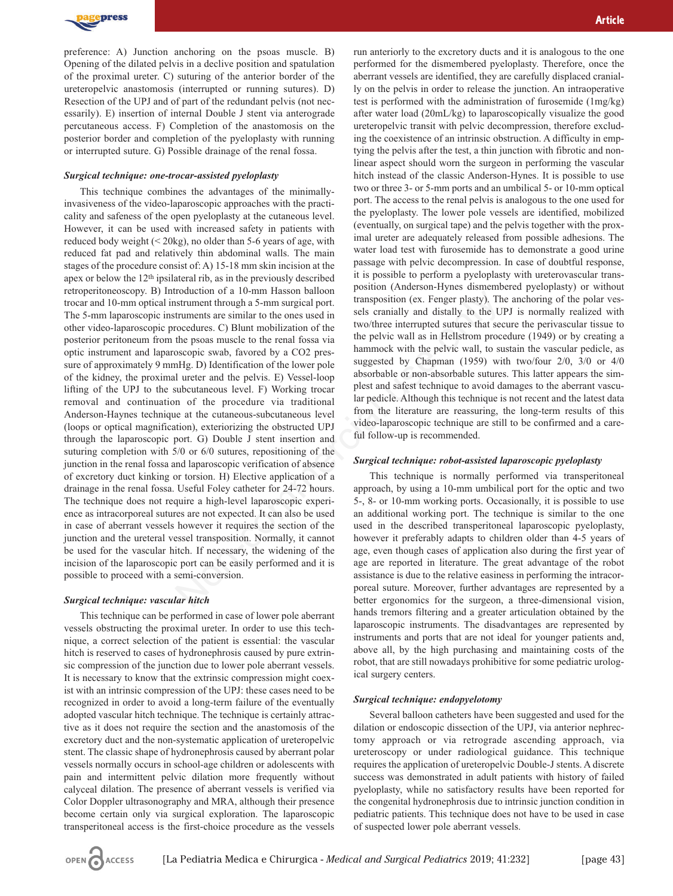

preference: A) Junction anchoring on the psoas muscle. B) Opening of the dilated pelvis in a declive position and spatulation of the proximal ureter. C) suturing of the anterior border of the ureteropelvic anastomosis (interrupted or running sutures). D) Resection of the UPJ and of part of the redundant pelvis (not necessarily). E) insertion of internal Double J stent via anterograde percutaneous access. F) Completion of the anastomosis on the posterior border and completion of the pyeloplasty with running or interrupted suture. G) Possible drainage of the renal fossa.

#### *Surgical technique: one-trocar-assisted pyeloplasty*

This technique combines the advantages of the minimallyinvasiveness of the video-laparoscopic approaches with the practicality and safeness of the open pyeloplasty at the cutaneous level. However, it can be used with increased safety in patients with reduced body weight (< 20kg), no older than 5-6 years of age, with reduced fat pad and relatively thin abdominal walls. The main stages of the procedure consist of: A) 15-18 mm skin incision at the apex or below the 12th ipsilateral rib, as in the previously described retroperitoneoscopy. B) Introduction of a 10-mm Hasson balloon trocar and 10-mm optical instrument through a 5-mm surgical port. The 5-mm laparoscopic instruments are similar to the ones used in other video-laparoscopic procedures. C) Blunt mobilization of the posterior peritoneum from the psoas muscle to the renal fossa via optic instrument and laparoscopic swab, favored by a CO2 pressure of approximately 9 mmHg. D) Identification of the lower pole of the kidney, the proximal ureter and the pelvis. E) Vessel-loop lifting of the UPJ to the subcutaneous level. F) Working trocar removal and continuation of the procedure via traditional Anderson-Haynes technique at the cutaneous-subcutaneous level (loops or optical magnification), exteriorizing the obstructed UPJ through the laparoscopic port. G) Double J stent insertion and suturing completion with 5/0 or 6/0 sutures, repositioning of the junction in the renal fossa and laparoscopic verification of absence of excretory duct kinking or torsion. H) Elective application of a drainage in the renal fossa. Useful Foley catheter for 24-72 hours. The technique does not require a high-level laparoscopic experience as intracorporeal sutures are not expected. It can also be used in case of aberrant vessels however it requires the section of the junction and the ureteral vessel transposition. Normally, it cannot be used for the vascular hitch. If necessary, the widening of the incision of the laparoscopic port can be easily performed and it is possible to proceed with a semi-conversion. nondomino a robunal reason bandomical contact that the mean bandominal from the some sumpleted and the posterof the posterof the posterof the posterof the posterof the posterof the posterof the posterof the posterof the p

#### *Surgical technique: vascular hitch*

This technique can be performed in case of lower pole aberrant vessels obstructing the proximal ureter. In order to use this technique, a correct selection of the patient is essential: the vascular hitch is reserved to cases of hydronephrosis caused by pure extrinsic compression of the junction due to lower pole aberrant vessels. It is necessary to know that the extrinsic compression might coexist with an intrinsic compression of the UPJ: these cases need to be recognized in order to avoid a long-term failure of the eventually adopted vascular hitch technique. The technique is certainly attractive as it does not require the section and the anastomosis of the excretory duct and the non-systematic application of ureteropelvic stent. The classic shape of hydronephrosis caused by aberrant polar vessels normally occurs in school-age children or adolescents with pain and intermittent pelvic dilation more frequently without calyceal dilation. The presence of aberrant vessels is verified via Color Doppler ultrasonography and MRA, although their presence become certain only via surgical exploration. The laparoscopic transperitoneal access is the first-choice procedure as the vessels

run anteriorly to the excretory ducts and it is analogous to the one performed for the dismembered pyeloplasty. Therefore, once the aberrant vessels are identified, they are carefully displaced cranially on the pelvis in order to release the junction. An intraoperative test is performed with the administration of furosemide (1mg/kg) after water load (20mL/kg) to laparoscopically visualize the good ureteropelvic transit with pelvic decompression, therefore excluding the coexistence of an intrinsic obstruction. A difficulty in emptying the pelvis after the test, a thin junction with fibrotic and nonlinear aspect should worn the surgeon in performing the vascular hitch instead of the classic Anderson-Hynes. It is possible to use two or three 3- or 5-mm ports and an umbilical 5- or 10-mm optical port. The access to the renal pelvis is analogous to the one used for the pyeloplasty. The lower pole vessels are identified, mobilized (eventually, on surgical tape) and the pelvis together with the proximal ureter are adequately released from possible adhesions. The water load test with furosemide has to demonstrate a good urine passage with pelvic decompression. In case of doubtful response, it is possible to perform a pyeloplasty with ureterovascular transposition (Anderson-Hynes dismembered pyeloplasty) or without transposition (ex. Fenger plasty). The anchoring of the polar vessels cranially and distally to the UPJ is normally realized with two/three interrupted sutures that secure the perivascular tissue to the pelvic wall as in Hellstrom procedure (1949) or by creating a hammock with the pelvic wall, to sustain the vascular pedicle, as suggested by Chapman (1959) with two/four 2/0, 3/0 or 4/0 absorbable or non-absorbable sutures. This latter appears the simplest and safest technique to avoid damages to the aberrant vascular pedicle. Although this technique is not recent and the latest data from the literature are reassuring, the long-term results of this video-laparoscopic technique are still to be confirmed and a careful follow-up is recommended.

#### *Surgical technique: robot-assisted laparoscopic pyeloplasty*

This technique is normally performed via transperitoneal approach, by using a 10-mm umbilical port for the optic and two 5-, 8- or 10-mm working ports. Occasionally, it is possible to use an additional working port. The technique is similar to the one used in the described transperitoneal laparoscopic pyeloplasty, however it preferably adapts to children older than 4-5 years of age, even though cases of application also during the first year of age are reported in literature. The great advantage of the robot assistance is due to the relative easiness in performing the intracorporeal suture. Moreover, further advantages are represented by a better ergonomics for the surgeon, a three-dimensional vision, hands tremors filtering and a greater articulation obtained by the laparoscopic instruments. The disadvantages are represented by instruments and ports that are not ideal for younger patients and, above all, by the high purchasing and maintaining costs of the robot, that are still nowadays prohibitive for some pediatric urological surgery centers.

#### *Surgical technique: endopyelotomy*

Several balloon catheters have been suggested and used for the dilation or endoscopic dissection of the UPJ, via anterior nephrectomy approach or via retrograde ascending approach, via ureteroscopy or under radiological guidance. This technique requires the application of ureteropelvic Double-J stents. A discrete success was demonstrated in adult patients with history of failed pyeloplasty, while no satisfactory results have been reported for the congenital hydronephrosis due to intrinsic junction condition in pediatric patients. This technique does not have to be used in case of suspected lower pole aberrant vessels.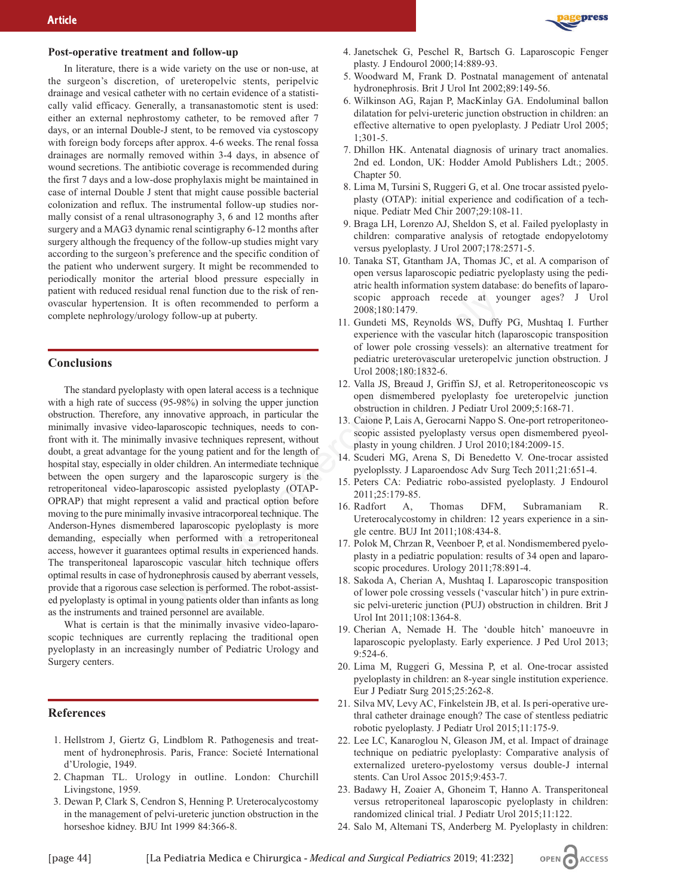

#### **Post-operative treatment and follow-up**

In literature, there is a wide variety on the use or non-use, at the surgeon's discretion, of ureteropelvic stents, peripelvic drainage and vesical catheter with no certain evidence of a statistically valid efficacy. Generally, a transanastomotic stent is used: either an external nephrostomy catheter, to be removed after 7 days, or an internal Double-J stent, to be removed via cystoscopy with foreign body forceps after approx. 4-6 weeks. The renal fossa drainages are normally removed within 3-4 days, in absence of wound secretions. The antibiotic coverage is recommended during the first 7 days and a low-dose prophylaxis might be maintained in case of internal Double J stent that might cause possible bacterial colonization and reflux. The instrumental follow-up studies normally consist of a renal ultrasonography 3, 6 and 12 months after surgery and a MAG3 dynamic renal scintigraphy 6-12 months after surgery although the frequency of the follow-up studies might vary according to the surgeon's preference and the specific condition of the patient who underwent surgery. It might be recommended to periodically monitor the arterial blood pressure especially in patient with reduced residual renal function due to the risk of renovascular hypertension. It is often recommended to perform a complete nephrology/urology follow-up at puberty.

# **Conclusions**

The standard pyeloplasty with open lateral access is a technique with a high rate of success (95-98%) in solving the upper junction obstruction. Therefore, any innovative approach, in particular the minimally invasive video-laparoscopic techniques, needs to confront with it. The minimally invasive techniques represent, without doubt, a great advantage for the young patient and for the length of hospital stay, especially in older children. An intermediate technique between the open surgery and the laparoscopic surgery is the retroperitoneal video-laparoscopic assisted pyeloplasty (OTAP-OPRAP) that might represent a valid and practical option before moving to the pure minimally invasive intracorporeal technique. The Anderson-Hynes dismembered laparoscopic pyeloplasty is more demanding, especially when performed with a retroperitoneal access, however it guarantees optimal results in experienced hands. The transperitoneal laparoscopic vascular hitch technique offers optimal results in case of hydronephrosis caused by aberrant vessels, provide that a rigorous case selection is performed. The robot-assisted pyeloplasty is optimal in young patients older than infants as long as the instruments and trained personnel are available. main unction due to the risk of remains unction due of the risk of the recommended to perform a scopic approach recede at year-<br>
often recommended to perform a scopic approach recede at year-<br>
l. Gundeti MS, Reynolds WS, D

What is certain is that the minimally invasive video-laparoscopic techniques are currently replacing the traditional open pyeloplasty in an increasingly number of Pediatric Urology and Surgery centers.

## **References**

- 1. Hellstrom J, Giertz G, Lindblom R. Pathogenesis and treatment of hydronephrosis. Paris, France: Societé International d'Urologie, 1949.
- 2. Chapman TL. Urology in outline. London: Churchill Livingstone, 1959.
- 3. Dewan P, Clark S, Cendron S, Henning P. Ureterocalycostomy in the management of pelvi-ureteric junction obstruction in the horseshoe kidney. BJU Int 1999 84:366-8.
- 4. Janetschek G, Peschel R, Bartsch G. Laparoscopic Fenger plasty. J Endourol 2000;14:889-93.
- 5. Woodward M, Frank D. Postnatal management of antenatal hydronephrosis. Brit J Urol Int 2002;89:149-56.
- 6. Wilkinson AG, Rajan P, MacKinlay GA. Endoluminal ballon dilatation for pelvi-ureteric junction obstruction in children: an effective alternative to open pyeloplasty. J Pediatr Urol 2005; 1;301-5.
- 7. Dhillon HK. Antenatal diagnosis of urinary tract anomalies. 2nd ed. London, UK: Hodder Amold Publishers Ldt.; 2005. Chapter 50.
- 8. Lima M, Tursini S, Ruggeri G, et al. One trocar assisted pyeloplasty (OTAP): initial experience and codification of a technique. Pediatr Med Chir 2007;29:108-11.
- 9. Braga LH, Lorenzo AJ, Sheldon S, et al. Failed pyeloplasty in children: comparative analysis of retogtade endopyelotomy versus pyeloplasty. J Urol 2007;178:2571-5.
- 10. Tanaka ST, Gtantham JA, Thomas JC, et al. A comparison of open versus laparoscopic pediatric pyeloplasty using the pediatric health information system database: do benefits of laparoscopic approach recede at younger ages? J Urol 2008;180:1479.
- 11. Gundeti MS, Reynolds WS, Duffy PG, Mushtaq I. Further experience with the vascular hitch (laparoscopic transposition of lower pole crossing vessels): an alternative treatment for pediatric ureterovascular ureteropelvic junction obstruction. J Urol 2008;180:1832-6.
- 12. Valla JS, Breaud J, Griffin SJ, et al. Retroperitoneoscopic vs open dismembered pyeloplasty foe ureteropelvic junction obstruction in children. J Pediatr Urol 2009;5:168-71.
- 13. Caione P, Lais A, Gerocarni Nappo S. One-port retroperitoneoscopic assisted pyeloplasty versus open dismembered pyeolplasty in young children. J Urol 2010;184:2009-15.
- 14. Scuderi MG, Arena S, Di Benedetto V. One-trocar assisted pyeloplssty. J Laparoendosc Adv Surg Tech 2011;21:651-4.
- 15. Peters CA: Pediatric robo-assisted pyeloplasty. J Endourol 2011;25:179-85.
- 16. Radfort A, Thomas DFM, Subramaniam R. Ureterocalycostomy in children: 12 years experience in a single centre. BUJ Int 2011;108:434-8.
- 17. Polok M, Chrzan R, Veenboer P, et al. Nondismembered pyeloplasty in a pediatric population: results of 34 open and laparoscopic procedures. Urology 2011;78:891-4.
- 18. Sakoda A, Cherian A, Mushtaq I. Laparoscopic transposition of lower pole crossing vessels ('vascular hitch') in pure extrinsic pelvi-ureteric junction (PUJ) obstruction in children. Brit J Urol Int 2011;108:1364-8.
- 19. Cherian A, Nemade H. The 'double hitch' manoeuvre in laparoscopic pyeloplasty. Early experience. J Ped Urol 2013; 9:524-6.
- 20. Lima M, Ruggeri G, Messina P, et al. One-trocar assisted pyeloplasty in children: an 8-year single institution experience. Eur J Pediatr Surg 2015;25:262-8.
- 21. Silva MV, Levy AC, Finkelstein JB, et al. Is peri-operative urethral catheter drainage enough? The case of stentless pediatric robotic pyeloplasty. J Pediatr Urol 2015;11:175-9.
- 22. Lee LC, Kanaroglou N, Gleason JM, et al. Impact of drainage technique on pediatric pyeloplasty: Comparative analysis of externalized uretero-pyelostomy versus double-J internal stents. Can Urol Assoc 2015;9:453-7.
- 23. Badawy H, Zoaier A, Ghoneim T, Hanno A. Transperitoneal versus retroperitoneal laparoscopic pyeloplasty in children: randomized clinical trial. J Pediatr Urol 2015;11:122.
- 24. Salo M, Altemani TS, Anderberg M. Pyeloplasty in children: